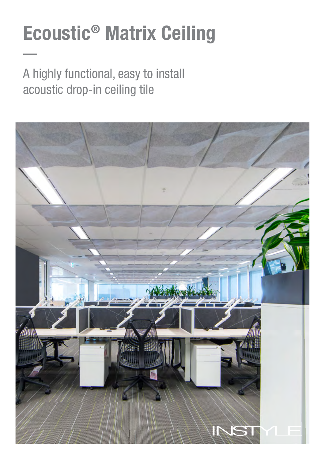# Ecoustic® Matrix Ceiling

A highly functional, easy to install acoustic drop-in ceiling tile

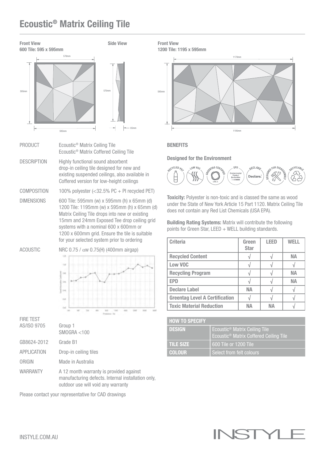# Ecoustic® Matrix Ceiling Tile



Side View



- PRODUCT Ecoustic<sup>®</sup> Matrix Ceiling Tile Ecoustic® Matrix Coffered Ceiling Tile
- DESCRIPTION Highly functional sound absorbent drop-in ceiling tile designed for new and existing suspended ceilings, also available in Coffered version for low-height ceilings
- COMPOSITION 100% polyester (<32.5% PC + PI recycled PET)
- DIMENSIONS 600 Tile: 595mm (w) x 595mm (h) x 65mm (d) 1200 Tile: 1195mm (w) x 595mm (h) x 65mm (d) Matrix Ceiling Tile drops into new or existing 15mm and 24mm Exposed Tee drop ceiling grid systems with a nominal 600 x 600mm or 1200 x 600mm grid. Ensure the tile is suitable for your selected system prior to ordering

ACOUSTIC NRC 0.75 /  $\alpha$ w 0.75(H) (400mm airgap)



FIRE TEST AS/ISO 9705 Group 1

|             | SMOGRA < 100                                                                            |
|-------------|-----------------------------------------------------------------------------------------|
| GB8624-2012 | Grade B1                                                                                |
| APPLICATION | Drop-in ceiling tiles                                                                   |
| ORIGIN      | Made in Australia                                                                       |
| WARRANTY    | A 12 month warranty is provided against<br>manufacturing defects. Internal installation |

stallation only, outdoor use will void any warranty

Please contact your representative for CAD drawings

Front View 1200 Tile: 1195 x 595mm



#### **BENEFITS**

Designed for the Environment



Toxicity: Polyester is non-toxic and is classed the same as wood under the State of New York Article 15 Part 1120. Matrix Ceiling Tile does not contain any Red List Chemicals (USA EPA).

Building Rating Systems: Matrix will contribute the following points for Green Star, LEED  $+$  WELL building standards.

| <b>Criteria</b>                       | Green<br><b>Star</b> | <b>LEED</b> | WFI I     |
|---------------------------------------|----------------------|-------------|-----------|
| <b>Recycled Content</b>               |                      |             | <b>NA</b> |
| Low VOC                               |                      |             |           |
| <b>Recycling Program</b>              |                      |             | <b>NA</b> |
| <b>EPD</b>                            |                      |             | <b>NA</b> |
| <b>Declare Label</b>                  | NА                   |             |           |
| <b>Greentag Level A Certification</b> |                      |             |           |
| <b>Toxic Material Reduction</b>       | NΔ                   | NΔ          |           |

| <b>HOW TO SPECIFY</b> |                                                                                                 |
|-----------------------|-------------------------------------------------------------------------------------------------|
| <b>DESIGN</b>         | Ecoustic <sup>®</sup> Matrix Ceiling Tile<br>Ecoustic <sup>®</sup> Matrix Coffered Ceiling Tile |
| <b>TILE SIZE</b>      | 600 Tile or 1200 Tile                                                                           |
| <b>COLOUR</b>         | Select from felt colours                                                                        |

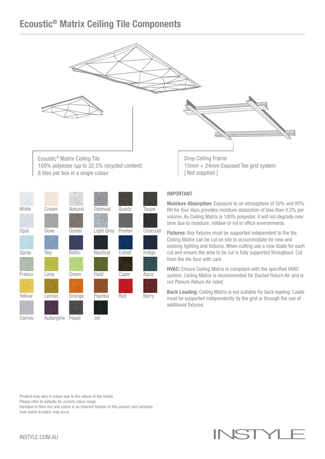## Ecoustic® Matrix Ceiling Tile Components



8 tiles per box in a single colour

| White       | Cream     | <b>Natural</b> | <b>Oatmeal</b> | Quartz | Taupe        |
|-------------|-----------|----------------|----------------|--------|--------------|
|             |           |                |                |        |              |
| <b>Opal</b> | Dove      | Oyster         | Light Grey     | Pewter | Charcoal     |
|             |           |                |                |        |              |
| Spray       | Sky       | <b>Baltic</b>  | Nautical       | Cobalt | Indigo       |
|             |           |                |                |        |              |
| Fresco      | Lime      | Green          | Field          | Caper  | Aqua         |
|             |           |                |                |        |              |
| Yellow      | Lemon     | Orange         | Paprika        | Red    | <b>Berry</b> |
|             |           |                |                |        |              |
| Cameo       | Aubergine | Fossil         | Jet            |        |              |

## IMPORTANT

[ Not supplied ]

Moisture Absorption: Exposure to an atmosphere of 50% and 95% RH for four days provides moisture absorption of less than 0.2% per volume. As Ceiling Matrix is 100% polyester, it will not degrade over time due to moisture, mildew or rot in office environments.

Fixtures: Any fixtures must be supported independent to the tile. Ceiling Matrix can be cut on site to accommodate for new and existing lighting and fixtures. When cutting use a new blade for each cut and ensure the area to be cut is fully supported throughout. Cut from the tile face with care.

HVAC: Ensure Ceiling Matrix is compliant with the specified HVAC system. Ceiling Matrix is recommended for Ducted Return Air and is not Plenum Return Air rated.

Back Loading: Ceiling Matrix is not suitable for back loading. Loads must be supported independently by the grid or through the use of additional fixtures.

Product may vary in colour due to the nature of the media

Please refer to website for current colour range

Variation in fibre mix and colour is an inherent feature of this product and variation from batch to batch may occur

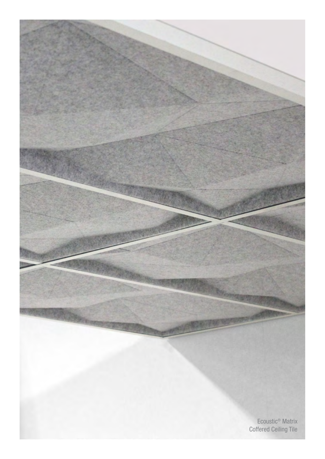